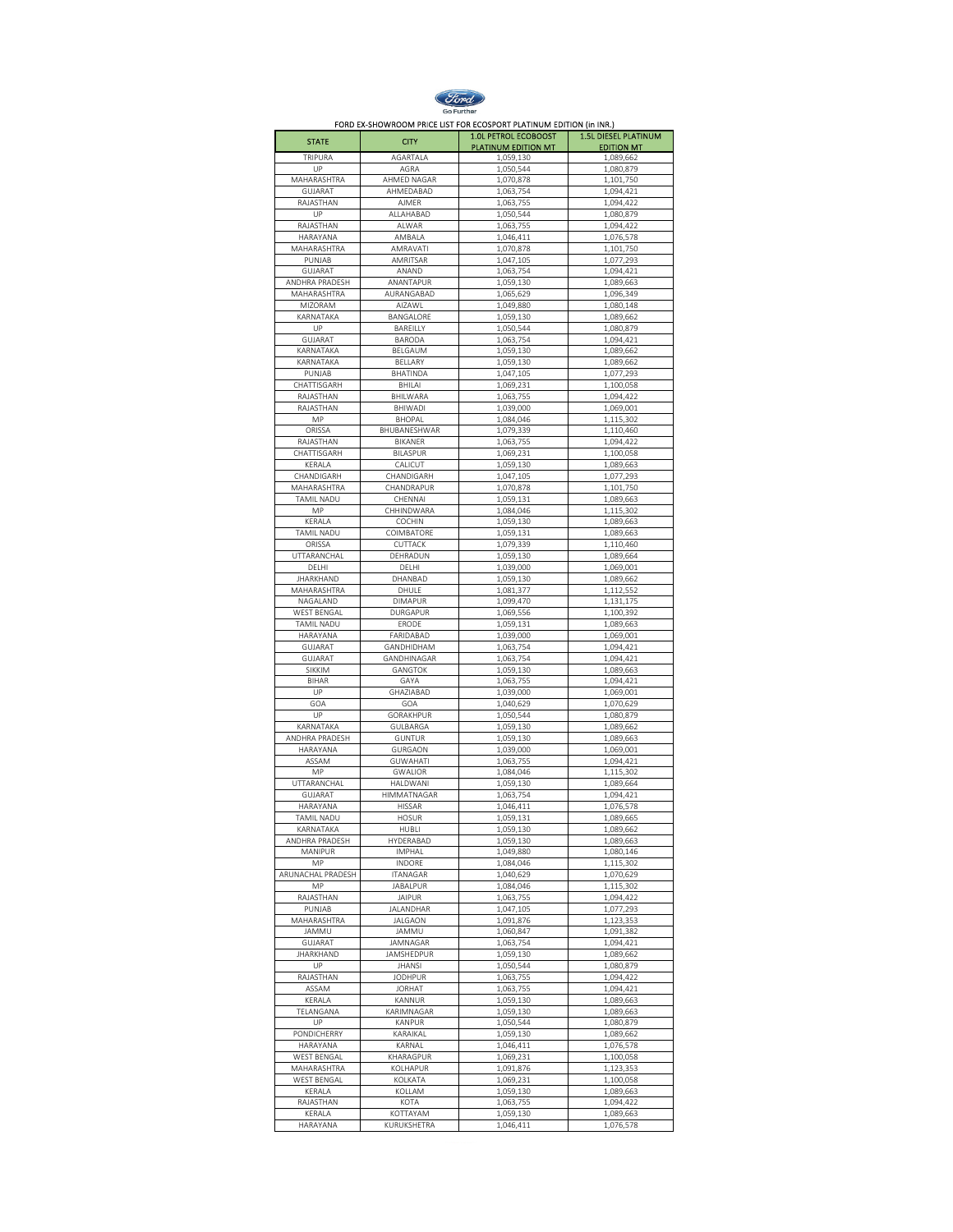

FORD EX-SHOWROOM PRICE LIST FOR ECOSPORT PLATINUM EDITION (in INR.)

| <b>STATE</b>                | <b>CITY</b>                        | <b>1.0L PETROL ECOBOOST</b><br>PLATINUM EDITION MT | <b>1.5L DIESEL PLATINUM</b><br><b>EDITION MT</b> |
|-----------------------------|------------------------------------|----------------------------------------------------|--------------------------------------------------|
| TRIPURA                     | AGARTALA                           | 1,059,130                                          | 1,089,662                                        |
| UP                          | AGRA                               | 1,050,544                                          | 1,080,879                                        |
| MAHARASHTRA                 | AHMED NAGAR                        | 1,070,878                                          | 1,101,750                                        |
| GUJARAT<br>RAJASTHAN        | AHMEDABAD<br>AJMER                 | 1,063,754<br>1,063,755                             | 1,094,421<br>1,094,422                           |
| UP                          | ALLAHABAD                          | 1,050,544                                          | 1,080,879                                        |
| RAJASTHAN                   | ALWAR                              | 1,063,755                                          | 1,094,422                                        |
| HARAYANA                    | AMBALA                             | 1,046,411                                          | 1,076,578                                        |
| MAHARASHTRA                 | AMRAVATI                           | 1,070,878                                          | 1,101,750                                        |
| PUNJAB<br>GUJARAT           | AMRITSAR<br>ANAND                  | 1,047,105<br>1,063,754                             | 1,077,293<br>1,094,421                           |
| ANDHRA PRADESH              | ANANTAPUR                          | 1,059,130                                          | 1,089,663                                        |
| MAHARASHTRA                 | AURANGABAD                         | 1,065,629                                          | 1,096,349                                        |
| MIZORAM                     | AIZAWL                             | 1,049,880                                          | 1.080.148                                        |
| KARNATAKA                   | BANGALORE                          | 1,059,130                                          | 1,089,662                                        |
| UP<br>GUJARAT               | BAREILLY<br><b>BARODA</b>          | 1,050,544<br>1,063,754                             | 1,080,879<br>1,094,421                           |
| KARNATAKA                   | BELGAUM                            | 1,059,130                                          | 1,089,662                                        |
| KARNATAKA                   | BELLARY                            | 1,059,130                                          | 1,089,662                                        |
| PUNJAB                      | <b>BHATINDA</b>                    | 1,047,105                                          | 1,077,293                                        |
| CHATTISGARH                 | BHILAI                             | 1,069,231                                          | 1,100,058                                        |
| RAJASTHAN<br>RAJASTHAN      | BHILWARA<br>BHIWADI                | 1,063,755                                          | 1,094,422                                        |
| MP                          | <b>BHOPAL</b>                      | 1,039,000<br>1,084,046                             | 1,069,001<br>1,115,302                           |
| ORISSA                      | BHUBANESHWAR                       | 1,079,339                                          | 1,110,460                                        |
| RAJASTHAN                   | BIKANER                            | 1,063,755                                          | 1,094,422                                        |
| CHATTISGARH                 | <b>BILASPUR</b>                    | 1,069,231                                          | 1,100,058                                        |
| KERALA                      | CALICUT                            | 1,059,130                                          | 1,089,663                                        |
| CHANDIGARH                  | CHANDIGARH                         | 1,047,105                                          | 1,077,293                                        |
| MAHARASHTRA<br>TAMIL NADU   | CHANDRAPUR<br>CHENNAI              | 1,070,878<br>1,059,131                             | 1,101,750<br>1,089,663                           |
| MP                          | CHHINDWARA                         | 1,084,046                                          | 1,115,302                                        |
| KERALA                      | COCHIN                             | 1,059,130                                          | 1,089,663                                        |
| TAMIL NADU                  | COIMBATORE                         | 1,059,131                                          | 1,089,663                                        |
| ORISSA                      | CUTTACK                            | 1,079,339                                          | 1,110,460                                        |
| UTTARANCHAL                 | DEHRADUN                           | 1,059,130                                          | 1,089,664                                        |
| DELHI<br><b>JHARKHAND</b>   | DELHI<br>DHANBAD                   | 1,039,000<br>1,059,130                             | 1,069,001<br>1,089,662                           |
| MAHARASHTRA                 | DHULE                              | 1,081,377                                          | 1,112,552                                        |
| NAGALAND                    | <b>DIMAPUR</b>                     | 1,099,470                                          | 1,131,175                                        |
| WEST BENGAL                 | DURGAPUR                           | 1,069,556                                          | 1,100,392                                        |
| TAMIL NADU                  | ERODE                              | 1,059,131                                          | 1,089,663                                        |
| HARAYANA                    | FARIDABAD                          | 1,039,000                                          | 1,069,001                                        |
| GUJARAT<br>GUJARAT          | GANDHIDHAM<br>GANDHINAGAR          | 1,063,754<br>1,063,754                             | 1,094,421<br>1,094,421                           |
| SIKKIM                      | GANGTOK                            | 1,059,130                                          | 1,089,663                                        |
| BIHAR                       | GAYA                               | 1,063,755                                          | 1,094,421                                        |
| UP                          | GHAZIABAD                          | 1,039,000                                          | 1,069,001                                        |
| GOA                         | GOA                                | 1,040,629                                          | 1,070,629                                        |
| UP                          | GORAKHPUR                          | 1,050,544                                          | 1,080,879                                        |
| KARNATAKA<br>ANDHRA PRADESH | GULBARGA<br>GUNTUR                 | 1,059,130<br>1,059,130                             | 1,089,662<br>1,089,663                           |
| HARAYANA                    | <b>GURGAON</b>                     | 1,039,000                                          | 1,069,001                                        |
| ASSAM                       | <b>GUWAHATI</b>                    | 1,063,755                                          | 1,094,421                                        |
| MP                          | <b>GWALIOR</b>                     | 1,084,046                                          | 1,115,302                                        |
| UTTARANCHAL                 | HALDWANI                           | 1,059,130                                          | 1,089,664                                        |
| GUJARAT                     | HIMMATNAGAR<br>HISSAR              | 1,063,754                                          | 1,094,421                                        |
| HARAYANA<br>TAMIL NADU      | <b>HOSUR</b>                       | 1,046,411<br>1,059,131                             | 1,076,578<br>1,089,665                           |
| KARNATAKA                   | HUBLI                              | 1,059,130                                          | 1,089,662                                        |
| ANDHRA PRADESH              | HYDERABAD                          | 1,059,130                                          | 1,089,663                                        |
| <b>MANIPUR</b>              | <b>IMPHAL</b>                      | 1,049,880                                          | 1,080,146                                        |
| MP                          | INDORE                             | 1,084,046                                          | 1,115,302                                        |
| ARUNACHAL PRADESH<br>MP     | <b>ITANAGAR</b><br><b>JABALPUR</b> | 1,040,629<br>1,084,046                             | 1,070,629<br>1,115,302                           |
| RAJASTHAN                   | <b>JAIPUR</b>                      | 1,063,755                                          | 1,094,422                                        |
| PUNJAB                      | <b>JALANDHAR</b>                   | 1,047,105                                          | 1,077,293                                        |
| MAHARASHTRA                 | JALGAON                            | 1,091,876                                          | 1,123,353                                        |
| JAMMU                       | JAMMU                              | 1,060,847                                          | 1,091,382                                        |
| GUJARAT<br><b>JHARKHAND</b> | JAMNAGAR<br><b>JAMSHEDPUR</b>      | 1,063,754<br>1,059,130                             | 1,094,421<br>1,089,662                           |
| UP                          | <b>JHANSI</b>                      | 1,050,544                                          | 1,080,879                                        |
| RAJASTHAN                   | <b>JODHPUR</b>                     | 1,063,755                                          | 1,094,422                                        |
| ASSAM                       | <b>JORHAT</b>                      | 1,063,755                                          | 1.094.421                                        |
| KERALA                      | KANNUR                             | 1,059,130                                          | 1,089,663                                        |
| TELANGANA                   | KARIMNAGAR                         | 1,059,130                                          | 1,089,663                                        |
| UP                          | KANPUR                             | 1,050,544                                          | 1,080,879                                        |
| PONDICHERRY<br>HARAYANA     | KARAIKAL<br>KARNAL                 | 1,059,130<br>1,046,411                             | 1,089,662<br>1,076,578                           |
| WEST BENGAL                 | KHARAGPUR                          | 1,069,231                                          | 1,100,058                                        |
| MAHARASHTRA                 | KOLHAPUR                           | 1,091,876                                          | 1,123,353                                        |
| WEST BENGAL                 | KOLKATA                            | 1,069,231                                          | 1,100,058                                        |
| KERALA                      | KOLLAM                             | 1,059,130                                          | 1,089,663                                        |
| RAJASTHAN                   | KOTA                               | 1,063,755                                          | 1,094,422                                        |
| KERALA<br>HARAYANA          | KOTTAYAM<br>KURUKSHETRA            | 1,059,130<br>1,046,411                             | 1,089,663<br>1,076,578                           |
|                             |                                    |                                                    |                                                  |